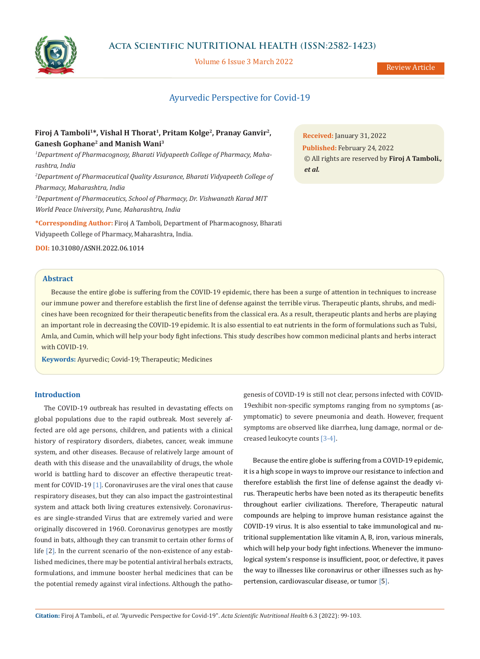

# **Acta Scientific NUTRITIONAL HEALTH (ISSN:2582-1423)**

Volume 6 Issue 3 March 2022

# Ayurvedic Perspective for Covid-19

# Firoj A Tamboli<sup>1\*</sup>, Vishal H Thorat<sup>1</sup>, Pritam Kolge<sup>2</sup>, Pranay Ganvir<sup>2</sup>, **Ganesh Gophane2 and Manish Wani3**

*1 Department of Pharmacognosy, Bharati Vidyapeeth College of Pharmacy, Maharashtra, India*

*2 Department of Pharmaceutical Quality Assurance, Bharati Vidyapeeth College of Pharmacy, Maharashtra, India*

*3 Department of Pharmaceutics, School of Pharmacy, Dr. Vishwanath Karad MIT World Peace University, Pune, Maharashtra, India* 

**\*Corresponding Author:** Firoj A Tamboli, Department of Pharmacognosy, Bharati Vidyapeeth College of Pharmacy, Maharashtra, India.

**DOI:** [10.31080/ASNH.2022.06.1014](https://actascientific.com/ASNH/pdf/ASNH-06-1014.pdf)

### **Abstract**

Because the entire globe is suffering from the COVID-19 epidemic, there has been a surge of attention in techniques to increase our immune power and therefore establish the first line of defense against the terrible virus. Therapeutic plants, shrubs, and medicines have been recognized for their therapeutic benefits from the classical era. As a result, therapeutic plants and herbs are playing an important role in decreasing the COVID-19 epidemic. It is also essential to eat nutrients in the form of formulations such as Tulsi, Amla, and Cumin, which will help your body fight infections. This study describes how common medicinal plants and herbs interact with COVID-19.

**Keywords:** Ayurvedic; Covid-19; Therapeutic; Medicines

## **Introduction**

The COVID-19 outbreak has resulted in devastating effects on global populations due to the rapid outbreak. Most severely affected are old age persons, children, and patients with a clinical history of respiratory disorders, diabetes, cancer, weak immune system, and other diseases. Because of relatively large amount of death with this disease and the unavailability of drugs, the whole world is battling hard to discover an effective therapeutic treatment for COVID-19 [1]. Coronaviruses are the viral ones that cause respiratory diseases, but they can also impact the gastrointestinal system and attack both living creatures extensively. Coronaviruses are single-stranded Virus that are extremely varied and were originally discovered in 1960. Coronavirus genotypes are mostly found in bats, although they can transmit to certain other forms of life [2]. In the current scenario of the non-existence of any established medicines, there may be potential antiviral herbals extracts, formulations, and immune booster herbal medicines that can be the potential remedy against viral infections. Although the pathogenesis of COVID-19 is still not clear, persons infected with COVID-19exhibit non-specific symptoms ranging from no symptoms (asymptomatic) to severe pneumonia and death. However, frequent symptoms are observed like diarrhea, lung damage, normal or decreased leukocyte counts [3-4].

**Received:** January 31, 2022 **Published:** February 24, 2022

*et al.*

© All rights are reserved by **Firoj A Tamboli***.,* 

Because the entire globe is suffering from a COVID-19 epidemic, it is a high scope in ways to improve our resistance to infection and therefore establish the first line of defense against the deadly virus. Therapeutic herbs have been noted as its therapeutic benefits throughout earlier civilizations. Therefore, Therapeutic natural compounds are helping to improve human resistance against the COVID-19 virus. It is also essential to take immunological and nutritional supplementation like vitamin A, B, iron, various minerals, which will help your body fight infections. Whenever the immunological system's response is insufficient, poor, or defective, it paves the way to illnesses like coronavirus or other illnesses such as hypertension, cardiovascular disease, or tumor [5].

**Citation:** Firoj A Tamboli*., et al.* "Ayurvedic Perspective for Covid-19". *Acta Scientific Nutritional Health* 6.3 (2022): 99-103.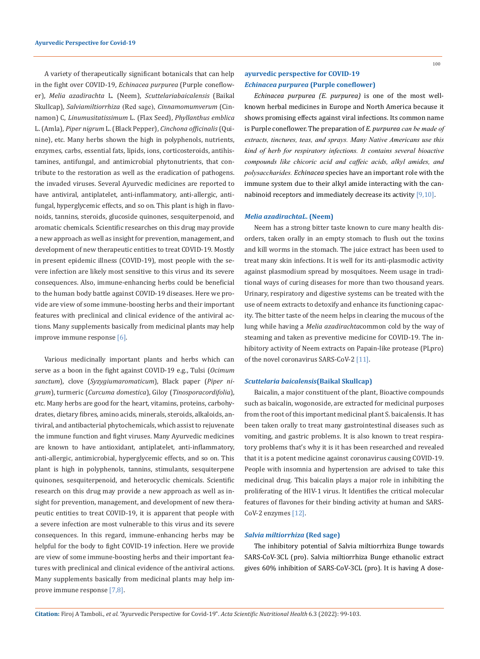A variety of therapeutically significant botanicals that can help in the fight over COVID-19, *Echinacea purpurea* (Purple coneflower), *Melia azadirachta* L. (Neem), *Scuttelariabaicalensis* (Baikal Skullcap), *Salviamiltiorrhiza* (Red sage), *Cinnamomumverum* (Cinnamon) C, *Linumusitatissimum* L. (Flax Seed), *Phyllanthus emblica* L. (Amla), *Piper nigrum* L. (Black Pepper), *Cinchona officinalis* (Quinine), etc. Many herbs shown the high in polyphenols, nutrients, enzymes, carbs, essential fats, lipids, ions, corticosteroids, antihistamines, antifungal, and antimicrobial phytonutrients, that contribute to the restoration as well as the eradication of pathogens. the invaded viruses. Several Ayurvedic medicines are reported to have antiviral, antiplatelet, anti-inflammatory, anti-allergic, antifungal, hyperglycemic effects, and so on. This plant is high in flavonoids, tannins, steroids, glucoside quinones, sesquiterpenoid, and aromatic chemicals. Scientific researches on this drug may provide a new approach as well as insight for prevention, management, and development of new therapeutic entities to treat COVID-19. Mostly in present epidemic illness (COVID-19), most people with the severe infection are likely most sensitive to this virus and its severe consequences. Also, immune-enhancing herbs could be beneficial to the human body battle against COVID-19 diseases. Here we provide are view of some immune-boosting herbs and their important features with preclinical and clinical evidence of the antiviral actions. Many supplements basically from medicinal plants may help improve immune response [6].

Various medicinally important plants and herbs which can serve as a boon in the fight against COVID-19 e.g., Tulsi (*Ocimum sanctum*), clove (*Syzygiumaromaticum*), Black paper (*Piper nigrum*), turmeric (*Curcuma domestica*), Giloy (*Tinosporacordifolia*), etc. Many herbs are good for the heart, vitamins, proteins, carbohydrates, dietary fibres, amino acids, minerals, steroids, alkaloids, antiviral, and antibacterial phytochemicals, which assist to rejuvenate the immune function and fight viruses. Many Ayurvedic medicines are known to have antioxidant, antiplatelet, anti-inflammatory, anti-allergic, antimicrobial, hyperglycemic effects, and so on. This plant is high in polyphenols, tannins, stimulants, sesquiterpene quinones, sesquiterpenoid, and heterocyclic chemicals. Scientific research on this drug may provide a new approach as well as insight for prevention, management, and development of new therapeutic entities to treat COVID-19, it is apparent that people with a severe infection are most vulnerable to this virus and its severe consequences. In this regard, immune-enhancing herbs may be helpful for the body to fight COVID-19 infection. Here we provide are view of some immune-boosting herbs and their important features with preclinical and clinical evidence of the antiviral actions. Many supplements basically from medicinal plants may help improve immune response [7,8].

## **ayurvedic perspective for COVID-19** *Echinacea purpurea* **(Purple coneflower)**

*Echinacea purpurea (E. purpurea)* is one of the most wellknown herbal medicines in Europe and North America because it shows promising effects against viral infections. Its common name is Purple coneflower. The preparation of *E. purpurea can be made of extracts, tinctures, teas, and sprays. Many Native Americans use this kind of herb for respiratory infections. It contains several bioactive compounds like chicoric acid and caffeic acids, alkyl amides, and polysaccharides. Echinacea* species have an important role with the immune system due to their alkyl amide interacting with the cannabinoid receptors and immediately decrease its activity [9,10].

#### *Melia azadirachtaL***. (Neem)**

Neem has a strong bitter taste known to cure many health disorders, taken orally in an empty stomach to flush out the toxins and kill worms in the stomach. The juice extract has been used to treat many skin infections. It is well for its anti-plasmodic activity against plasmodium spread by mosquitoes. Neem usage in traditional ways of curing diseases for more than two thousand years. Urinary, respiratory and digestive systems can be treated with the use of neem extracts to detoxify and enhance its functioning capacity. The bitter taste of the neem helps in clearing the mucous of the lung while having a *Melia azadirachta*common cold by the way of steaming and taken as preventive medicine for COVID-19. The inhibitory activity of Neem extracts on Papain-like protease (PLpro) of the novel coronavirus SARS-CoV-2 [11].

#### *Scuttelaria baicalensis***(Baikal Skullcap)**

Baicalin, a major constituent of the plant, Bioactive compounds such as baicalin, wogonoside, are extracted for medicinal purposes from the root of this important medicinal plant S. baicalensis. It has been taken orally to treat many gastrointestinal diseases such as vomiting, and gastric problems. It is also known to treat respiratory problems that's why it is it has been researched and revealed that it is a potent medicine against coronavirus causing COVID-19. People with insomnia and hypertension are advised to take this medicinal drug. This baicalin plays a major role in inhibiting the proliferating of the HIV-1 virus. It Identifies the critical molecular features of flavones for their binding activity at human and SARS-CoV-2 enzymes [12].

#### *Salvia miltiorrhiza* **(Red sage)**

The inhibitory potential of Salvia miltiorrhiza Bunge towards SARS-CoV-3CL (pro). Salvia miltiorrhiza Bunge ethanolic extract gives 60% inhibition of SARS-CoV-3CL (pro). It is having A dose-

**Citation:** Firoj A Tamboli*., et al.* "Ayurvedic Perspective for Covid-19". *Acta Scientific Nutritional Health* 6.3 (2022): 99-103.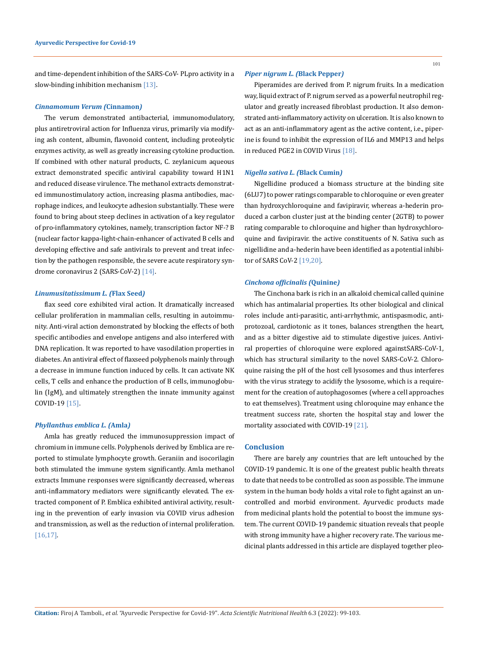and time-dependent inhibition of the SARS-CoV- PLpro activity in a slow-binding inhibition mechanism [13].

#### *Cinnamomum Verum (***Cinnamon***)*

The verum demonstrated antibacterial, immunomodulatory, plus antiretroviral action for Influenza virus, primarily via modifying ash content, albumin, flavonoid content, including proteolytic enzymes activity, as well as greatly increasing cytokine production. If combined with other natural products, C. zeylanicum aqueous extract demonstrated specific antiviral capability toward H1N1 and reduced disease virulence. The methanol extracts demonstrated immunostimulatory action, increasing plasma antibodies, macrophage indices, and leukocyte adhesion substantially. These were found to bring about steep declines in activation of a key regulator of pro-inflammatory cytokines, namely, transcription factor NF-? B (nuclear factor kappa-light-chain-enhancer of activated B cells and developing effective and safe antivirals to prevent and treat infection by the pathogen responsible, the severe acute respiratory syndrome coronavirus 2 (SARS-CoV-2) [14].

#### *Linumusitatissimum L. (***Flax Seed***)*

flax seed core exhibited viral action. It dramatically increased cellular proliferation in mammalian cells, resulting in autoimmunity. Anti-viral action demonstrated by blocking the effects of both specific antibodies and envelope antigens and also interfered with DNA replication. It was reported to have vasodilation properties in diabetes. An antiviral effect of flaxseed polyphenols mainly through a decrease in immune function induced by cells. It can activate NK cells, T cells and enhance the production of B cells, immunoglobulin (IgM), and ultimately strengthen the innate immunity against COVID-19 [15].

### *Phyllanthus emblica L. (***Amla***)*

Amla has greatly reduced the immunosuppression impact of chromium in immune cells. Polyphenols derived by Emblica are reported to stimulate lymphocyte growth. Geraniin and isocorilagin both stimulated the immune system significantly. Amla methanol extracts Immune responses were significantly decreased, whereas anti-inflammatory mediators were significantly elevated. The extracted component of P. Emblica exhibited antiviral activity, resulting in the prevention of early invasion via COVID virus adhesion and transmission, as well as the reduction of internal proliferation. [16,17].

#### *Piper nigrum L. (***Black Pepper***)*

Piperamides are derived from P. nigrum fruits. In a medication way, liquid extract of P. nigrum served as a powerful neutrophil regulator and greatly increased fibroblast production. It also demonstrated anti-inflammatory activity on ulceration. It is also known to act as an anti-inflammatory agent as the active content, i.e., piperine is found to inhibit the expression of IL6 and MMP13 and helps in reduced PGE2 in COVID Virus [18].

#### *Nigella sativa L. (***Black Cumin***)*

Nigellidine produced a biomass structure at the binding site (6LU7) to power ratings comparable to chloroquine or even greater than hydroxychloroquine and favipiravir, whereas a-hederin produced a carbon cluster just at the binding center (2GTB) to power rating comparable to chloroquine and higher than hydroxychloroquine and favipiravir. the active constituents of N. Sativa such as nigellidine and a-hederin have been identified as a potential inhibitor of SARS CoV-2 [19,20].

#### *Cinchona officinalis (***Quinine***)*

The Cinchona bark is rich in an alkaloid chemical called quinine which has antimalarial properties. Its other biological and clinical roles include anti-parasitic, anti-arrhythmic, antispasmodic, antiprotozoal, cardiotonic as it tones, balances strengthen the heart, and as a bitter digestive aid to stimulate digestive juices. Antiviral properties of chloroquine were explored againstSARS-CoV-1, which has structural similarity to the novel SARS-CoV-2. Chloroquine raising the pH of the host cell lysosomes and thus interferes with the virus strategy to acidify the lysosome, which is a requirement for the creation of autophagosomes (where a cell approaches to eat themselves). Treatment using chloroquine may enhance the treatment success rate, shorten the hospital stay and lower the mortality associated with COVID-19 [21].

#### **Conclusion**

There are barely any countries that are left untouched by the COVID-19 pandemic. It is one of the greatest public health threats to date that needs to be controlled as soon as possible. The immune system in the human body holds a vital role to fight against an uncontrolled and morbid environment. Ayurvedic products made from medicinal plants hold the potential to boost the immune system. The current COVID-19 pandemic situation reveals that people with strong immunity have a higher recovery rate. The various medicinal plants addressed in this article are displayed together pleo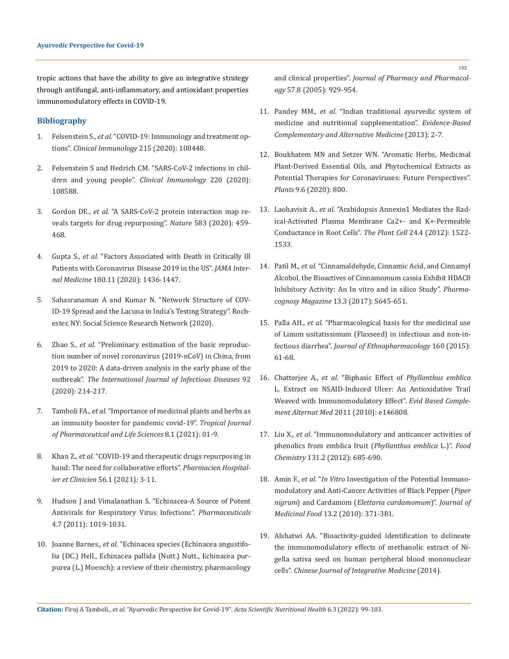tropic actions that have the ability to give an integrative strategy through antifungal, anti-inflammatory, and antioxidant properties immunomodulatory effects in COVID-19.

## **Bibliography**

- 1. Felsenstein S., *et al.* ["COVID-19: Immunology and treatment op](https://pubmed.ncbi.nlm.nih.gov/32353634/)tions". *[Clinical Immunology](https://pubmed.ncbi.nlm.nih.gov/32353634/)* 215 (2020): 108448.
- 2. [Felsenstein S and Hedrich CM. "SARS-CoV-2 infections in chil](https://pubmed.ncbi.nlm.nih.gov/32905851/)[dren and young people".](https://pubmed.ncbi.nlm.nih.gov/32905851/) *Clinical Immunology* 220 (2020): [108588.](https://pubmed.ncbi.nlm.nih.gov/32905851/)
- 3. Gordon DE., *et al.* ["A SARS-CoV-2 protein interaction map re](https://pubmed.ncbi.nlm.nih.gov/32353859/)[veals targets for drug repurposing".](https://pubmed.ncbi.nlm.nih.gov/32353859/) *Nature* 583 (2020): 459- [468.](https://pubmed.ncbi.nlm.nih.gov/32353859/)
- 4. Gupta S., *et al.* ["Factors Associated with Death in Critically Ill](https://pubmed.ncbi.nlm.nih.gov/32667668/) [Patients with Coronavirus Disease 2019 in the US".](https://pubmed.ncbi.nlm.nih.gov/32667668/) *JAMA Internal Medicine* [180.11 \(2020\): 1436-1447.](https://pubmed.ncbi.nlm.nih.gov/32667668/)
- 5. [Sahasranaman A and Kumar N. "Network Structure of COV-](https://arxiv.org/abs/2003.09715)[ID-19 Spread and the Lacuna in India's Testing Strategy". Roch](https://arxiv.org/abs/2003.09715)[ester, NY: Social Science Research Network \(2020\).](https://arxiv.org/abs/2003.09715)
- 6. Zhao S., *et al.* ["Preliminary estimation of the basic reproduc](https://pubmed.ncbi.nlm.nih.gov/32007643/)[tion number of novel coronavirus \(2019-nCoV\) in China, from](https://pubmed.ncbi.nlm.nih.gov/32007643/) [2019 to 2020: A data-driven analysis in the early phase of the](https://pubmed.ncbi.nlm.nih.gov/32007643/) outbreak". *[The International Journal of Infectious Diseases](https://pubmed.ncbi.nlm.nih.gov/32007643/)* 92 [\(2020\): 214-217.](https://pubmed.ncbi.nlm.nih.gov/32007643/)
- 7. Tamboli FA., *et al.* ["Importance of medicinal plants and herbs as](https://informativejournals.com/journal/index.php/tjpls/article/view/65) [an immunity booster for pandemic covid-19".](https://informativejournals.com/journal/index.php/tjpls/article/view/65) *Tropical Journal [of Pharmaceutical and Life Sciences](https://informativejournals.com/journal/index.php/tjpls/article/view/65)* 8.1 (2021): 01-9.
- 8. Khan Z., *et al.* ["COVID-19 and therapeutic drugs repurposing in](https://www.researchgate.net/publication/342155086_COVID-19_and_therapeutic_drugs_repurposing_in_hand_The_need_for_collaborative_efforts) [hand: The need for collaborative efforts".](https://www.researchgate.net/publication/342155086_COVID-19_and_therapeutic_drugs_repurposing_in_hand_The_need_for_collaborative_efforts) *Pharmacien Hospitalier et Clinicien* [56.1 \(2021\): 3-11.](https://www.researchgate.net/publication/342155086_COVID-19_and_therapeutic_drugs_repurposing_in_hand_The_need_for_collaborative_efforts)
- 9. [Hudson J and Vimalanathan S. "Echinacea-A Source of Potent](https://www.ncbi.nlm.nih.gov/pmc/articles/PMC4058675/) [Antivirals for Respiratory Virus Infections".](https://www.ncbi.nlm.nih.gov/pmc/articles/PMC4058675/) *Pharmaceuticals* [4.7 \(2011\): 1019-1031.](https://www.ncbi.nlm.nih.gov/pmc/articles/PMC4058675/)
- 10. Joanne Barnes., *et al.* ["Echinacea species \(Echinacea angustifo](https://pubmed.ncbi.nlm.nih.gov/16102249/)[lia \(DC.\) Hell., Echinacea pallida \(Nutt.\) Nutt., Echinacea pur](https://pubmed.ncbi.nlm.nih.gov/16102249/)[purea \(L.\) Moench\): a review of their chemistry, pharmacology](https://pubmed.ncbi.nlm.nih.gov/16102249/)

and clinical properties". *[Journal of Pharmacy and Pharmacol](https://pubmed.ncbi.nlm.nih.gov/16102249/)ogy* [57.8 \(2005\): 929-954.](https://pubmed.ncbi.nlm.nih.gov/16102249/)

- 11. Pandey MM., *et al.* ["Indian traditional ayurvedic system of](https://pubmed.ncbi.nlm.nih.gov/23864888/)  [medicine and nutritional supplementation".](https://pubmed.ncbi.nlm.nih.gov/23864888/) *Evidence-Based [Complementary and Alternative Medicine](https://pubmed.ncbi.nlm.nih.gov/23864888/)* (2013): 2-7.
- 12. [Boukhatem MN and Setzer WN. "Aromatic Herbs, Medicinal](https://www.mdpi.com/2223-7747/9/6/800)  [Plant-Derived Essential Oils, and Phytochemical Extracts as](https://www.mdpi.com/2223-7747/9/6/800)  [Potential Therapies for Coronaviruses: Future Perspectives".](https://www.mdpi.com/2223-7747/9/6/800)  *Plants* [9.6 \(2020\): 800.](https://www.mdpi.com/2223-7747/9/6/800)
- 13. Laohavisit A., *et al.* ["Arabidopsis Annexin1 Mediates the Rad](https://www.researchgate.net/publication/224811698_Arabidopsis_Annexin1_Mediates_the_Radical-Activated_Plasma_Membrane_Ca2-_and_K-Permeable_Conductance_in_Root_Cells)[ical-Activated Plasma Membrane Ca2+- and K+-Permeable](https://www.researchgate.net/publication/224811698_Arabidopsis_Annexin1_Mediates_the_Radical-Activated_Plasma_Membrane_Ca2-_and_K-Permeable_Conductance_in_Root_Cells)  [Conductance in Root Cells".](https://www.researchgate.net/publication/224811698_Arabidopsis_Annexin1_Mediates_the_Radical-Activated_Plasma_Membrane_Ca2-_and_K-Permeable_Conductance_in_Root_Cells) *The Plant Cell* 24.4 (2012): 1522- [1533.](https://www.researchgate.net/publication/224811698_Arabidopsis_Annexin1_Mediates_the_Radical-Activated_Plasma_Membrane_Ca2-_and_K-Permeable_Conductance_in_Root_Cells)
- 14. Patil M., *et al.* ["Cinnamaldehyde, Cinnamic Acid, and Cinnamyl](https://pubmed.ncbi.nlm.nih.gov/29142427/)  [Alcohol, the Bioactives of Cinnamomum cassia Exhibit HDAC8](https://pubmed.ncbi.nlm.nih.gov/29142427/)  [Inhibitory Activity: An In vitro and in silico Study".](https://pubmed.ncbi.nlm.nih.gov/29142427/) *Pharmacognosy Magazine* [13.3 \(2017\): S645-651.](https://pubmed.ncbi.nlm.nih.gov/29142427/)
- 15. Palla AH., *et al.* ["Pharmacological basis for the medicinal use](https://pubmed.ncbi.nlm.nih.gov/25433250/)  [of Linum usitatissimum \(Flaxseed\) in infectious and non-in](https://pubmed.ncbi.nlm.nih.gov/25433250/)fectious diarrhea". *[Journal of Ethnopharmacology](https://pubmed.ncbi.nlm.nih.gov/25433250/)* 160 (2015): [61-68.](https://pubmed.ncbi.nlm.nih.gov/25433250/)
- 16. Chatterjee A., *et al.* "Biphasic Effect of *[Phyllanthus emblica](https://pubmed.ncbi.nlm.nih.gov/21076542/)* [L. Extract on NSAID-Induced Ulcer: An Antioxidative Trail](https://pubmed.ncbi.nlm.nih.gov/21076542/)  [Weaved with Immunomodulatory Effect".](https://pubmed.ncbi.nlm.nih.gov/21076542/) *Evid Based Comple[ment Alternat Med](https://pubmed.ncbi.nlm.nih.gov/21076542/)* 2011 (2010): e146808.
- 17. Liu X., *et al.* ["Immunomodulatory and anticancer activities of](https://www.sciencedirect.com/science/article/abs/pii/S0308814611013409)  [phenolics from emblica fruit \(](https://www.sciencedirect.com/science/article/abs/pii/S0308814611013409)*Phyllanthus emblica* L.)". *Food Chemistry* [131.2 \(2012\): 685-690.](https://www.sciencedirect.com/science/article/abs/pii/S0308814611013409)
- 18. Amin F., *et al.* "*In Vitro* [Investigation of the Potential Immuno](https://pubmed.ncbi.nlm.nih.gov/20210607/)[modulatory and Anti-Cancer Activities of Black Pepper \(](https://pubmed.ncbi.nlm.nih.gov/20210607/)*Piper nigrum*) and Cardamom (*[Elettaria cardamomum](https://pubmed.ncbi.nlm.nih.gov/20210607/)*)". *Journal of Medicinal Food* [13.2 \(2010\): 371-381.](https://pubmed.ncbi.nlm.nih.gov/20210607/)
- 19. [Alshatwi AA. "Bioactivity-guided identification to delineate](https://pubmed.ncbi.nlm.nih.gov/24584754/)  [the immunomodulatory effects of methanolic extract of](https://pubmed.ncbi.nlm.nih.gov/24584754/) Nigella sativa [seed on human peripheral blood mononuclear](https://pubmed.ncbi.nlm.nih.gov/24584754/)  cells". *[Chinese Journal of Integrative Medicine](https://pubmed.ncbi.nlm.nih.gov/24584754/)* (2014).

**Citation:** Firoj A Tamboli*., et al.* "Ayurvedic Perspective for Covid-19". *Acta Scientific Nutritional Health* 6.3 (2022): 99-103.

102